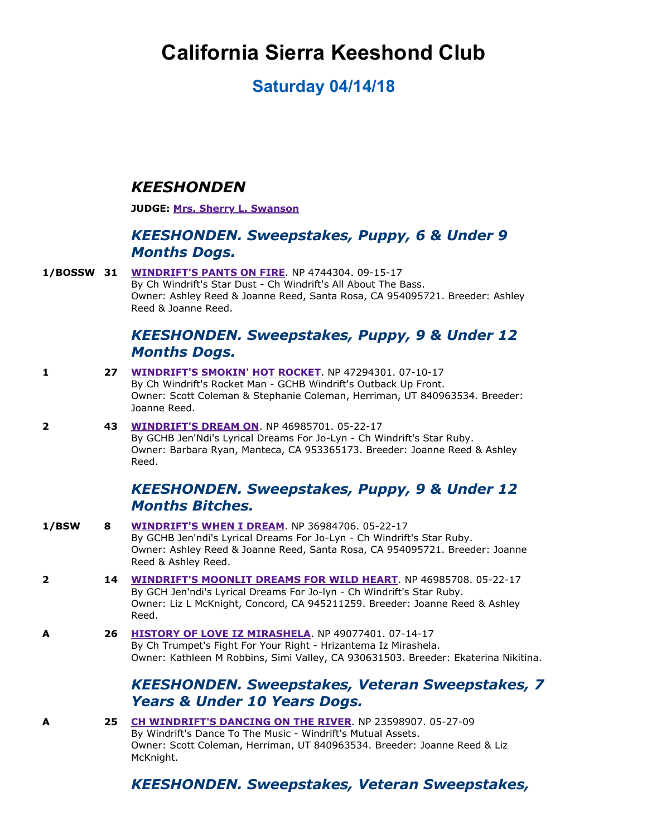# **California Sierra Keeshond Club**

# **Saturday 04/14/18**

#### *KEESHONDEN*

**JUDGE: [Mrs. Sherry L. Swanson](http://www.infodog.com/show/judge/jdgprofile.htm?jn=7517)**

#### *KEESHONDEN. Sweepstakes, Puppy, 6 & Under 9 Months Dogs.*

**1/BOSSW 31 [WINDRIFT'S PANTS ON FIRE](http://www.infodog.com/my/drlookup2.htm?makc=NP%204744304&mdog=Windrift%27s+Pants+On+Fire&wins=all). NP 4744304. 09-15-17** By Ch Windrift's Star Dust - Ch Windrift's All About The Bass. Owner: Ashley Reed & Joanne Reed, Santa Rosa, CA 954095721. Breeder: Ashley Reed & Joanne Reed.

#### *KEESHONDEN. Sweepstakes, Puppy, 9 & Under 12 Months Dogs.*

- **1 27 [WINDRIFT'S SMOKIN' HOT ROCKET](http://www.infodog.com/my/drlookup2.htm?makc=NP%2047294301&mdog=Windrift%27s+Smokin%27+Hot+Rocket&wins=all)**. NP 47294301. 07-10-17 By Ch Windrift's Rocket Man - GCHB Windrift's Outback Up Front. Owner: Scott Coleman & Stephanie Coleman, Herriman, UT 840963534. Breeder: Joanne Reed.
- **2 43 [WINDRIFT'S DREAM ON](http://www.infodog.com/my/drlookup2.htm?makc=NP%2046985701&mdog=Windrift%27s+Dream+On&wins=all). NP 46985701. 05-22-17** By GCHB Jen'Ndi's Lyrical Dreams For Jo-Lyn - Ch Windrift's Star Ruby. Owner: Barbara Ryan, Manteca, CA 953365173. Breeder: Joanne Reed & Ashley Reed.

#### *KEESHONDEN. Sweepstakes, Puppy, 9 & Under 12 Months Bitches.*

**1/BSW 8 [WINDRIFT'S WHEN I DREAM](http://www.infodog.com/my/drlookup2.htm?makc=NP%2036984706&mdog=Windrift%27s+When+I+Dream&wins=all)**. NP 36984706. 05-22-17 By GCHB Jen'ndi's Lyrical Dreams For Jo-Lyn - Ch Windrift's Star Ruby. Owner: Ashley Reed & Joanne Reed, Santa Rosa, CA 954095721. Breeder: Joanne Reed & Ashley Reed. **2 <b>14 [WINDRIFT'S MOONLIT DREAMS FOR WILD HEART](http://www.infodog.com/my/drlookup2.htm?makc=NP%2046985708&mdog=Windrift%27s+Moonlit+Dreams+For+Wild+Heart&wins=all)**. NP 46985708. 05-22-17 By GCH Jen'ndi's Lyrical Dreams For Jo-lyn - Ch Windrift's Star Ruby. Owner: Liz L McKnight, Concord, CA 945211259. Breeder: Joanne Reed & Ashley Reed. **A 26 [HISTORY OF LOVE IZ MIRASHELA](http://www.infodog.com/my/drlookup2.htm?makc=NP%2049077401&mdog=History+Of+Love+Iz+Mirashela&wins=all). NP 49077401. 07-14-17** By Ch Trumpet's Fight For Your Right - Hrizantema Iz Mirashela. Owner: Kathleen M Robbins, Simi Valley, CA 930631503. Breeder: Ekaterina Nikitina. *KEESHONDEN. Sweepstakes, Veteran Sweepstakes, 7 Years & Under 10 Years Dogs.* **A <b>25** [CH WINDRIFT'S DANCING ON THE RIVER](http://www.infodog.com/my/drlookup2.htm?makc=NP%2023598907&mdog=Ch+Windrift%27s+Dancing+On+The+River&wins=all). NP 23598907. 05-27-09 By Windrift's Dance To The Music - Windrift's Mutual Assets. Owner: Scott Coleman, Herriman, UT 840963534. Breeder: Joanne Reed & Liz McKnight.

#### *KEESHONDEN. Sweepstakes, Veteran Sweepstakes,*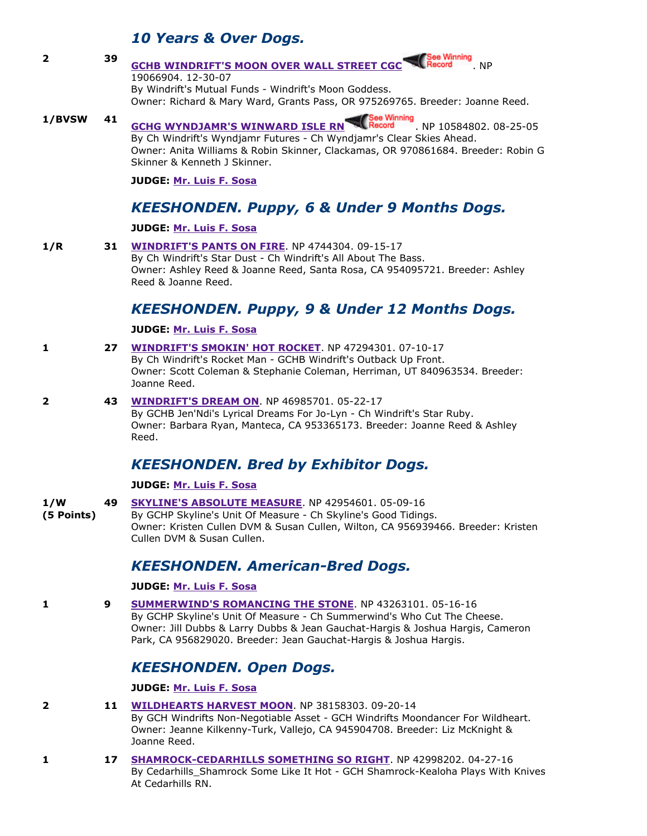#### *10 Years & Over Dogs.*

- **2 39 [GCHB WINDRIFT'S MOON OVER WALL STREET CGC](http://www.infodog.com/my/drlookup2.htm?makc=NP%2019066904&mdog=GCHB+Windrift%27s+Moon+Over+Wall+Street+CGC&wins=all)** Record NP 19066904. 12-30-07 By Windrift's Mutual Funds - Windrift's Moon Goddess. Owner: Richard & Mary Ward, Grants Pass, OR 975269765. Breeder: Joanne Reed.
- **1/BVSW 41 [GCHG WYNDJAMR'S WINWARD ISLE RN](http://www.infodog.com/my/drlookup2.htm?makc=NP%2010584802&mdog=GCHG+Wyndjamr%27s+Winward+Isle+RN&wins=all) And Record** NP 10584802. 08-25-05 By Ch Windrift's Wyndjamr Futures - Ch Wyndjamr's Clear Skies Ahead. Owner: Anita Williams & Robin Skinner, Clackamas, OR 970861684. Breeder: Robin G Skinner & Kenneth J Skinner.

**JUDGE: [Mr. Luis F. Sosa](http://www.infodog.com/show/judge/jdgprofile.htm?jn=45668)**

## *KEESHONDEN. Puppy, 6 & Under 9 Months Dogs.*

#### **JUDGE: [Mr. Luis F. Sosa](http://www.infodog.com/show/judge/jdgprofile.htm?jn=45668)**

**1/R 31 [WINDRIFT'S PANTS ON FIRE](http://www.infodog.com/my/drlookup2.htm?makc=NP%204744304&mdog=Windrift%27s+Pants+On+Fire&wins=all). NP 4744304. 09-15-17** By Ch Windrift's Star Dust - Ch Windrift's All About The Bass. Owner: Ashley Reed & Joanne Reed, Santa Rosa, CA 954095721. Breeder: Ashley Reed & Joanne Reed.

# *KEESHONDEN. Puppy, 9 & Under 12 Months Dogs.*

#### **JUDGE: [Mr. Luis F. Sosa](http://www.infodog.com/show/judge/jdgprofile.htm?jn=45668)**

- **1 <b>27 [WINDRIFT'S SMOKIN' HOT ROCKET](http://www.infodog.com/my/drlookup2.htm?makc=NP%2047294301&mdog=Windrift%27s+Smokin%27+Hot+Rocket&wins=all)**. NP 47294301. 07-10-17 By Ch Windrift's Rocket Man - GCHB Windrift's Outback Up Front. Owner: Scott Coleman & Stephanie Coleman, Herriman, UT 840963534. Breeder: Joanne Reed.
- **2 43 [WINDRIFT'S DREAM ON](http://www.infodog.com/my/drlookup2.htm?makc=NP%2046985701&mdog=Windrift%27s+Dream+On&wins=all).** NP 46985701. 05-22-17 By GCHB Jen'Ndi's Lyrical Dreams For Jo-Lyn - Ch Windrift's Star Ruby. Owner: Barbara Ryan, Manteca, CA 953365173. Breeder: Joanne Reed & Ashley Reed.

### *KEESHONDEN. Bred by Exhibitor Dogs.*

**JUDGE: [Mr. Luis F. Sosa](http://www.infodog.com/show/judge/jdgprofile.htm?jn=45668)**

- **1/W 49 [SKYLINE'S ABSOLUTE MEASURE](http://www.infodog.com/my/drlookup2.htm?makc=NP%2042954601&mdog=Skyline%27s+Absolute+Measure&wins=all). NP 42954601. 05-09-16**
- **(5 Points)** By GCHP Skyline's Unit Of Measure - Ch Skyline's Good Tidings. Owner: Kristen Cullen DVM & Susan Cullen, Wilton, CA 956939466. Breeder: Kristen Cullen DVM & Susan Cullen.

#### **KEESHONDEN. American-Bred Dogs.**

**JUDGE: [Mr. Luis F. Sosa](http://www.infodog.com/show/judge/jdgprofile.htm?jn=45668)**

**1 9 [SUMMERWIND'S ROMANCING THE STONE](http://www.infodog.com/my/drlookup2.htm?makc=NP%2043263101&mdog=Summerwind%27s+Romancing+The+Stone&wins=all)**. NP 43263101. 05-16-16 By GCHP Skyline's Unit Of Measure Ch Summerwind's Who Cut The Cheese. Owner: Jill Dubbs & Larry Dubbs & Jean Gauchat-Hargis & Joshua Hargis, Cameron Park, CA 956829020. Breeder: Jean Gauchat-Hargis & Joshua Hargis.

# *KEESHONDEN. Open Dogs.*

**JUDGE: [Mr. Luis F. Sosa](http://www.infodog.com/show/judge/jdgprofile.htm?jn=45668)**

- **2 <b>11** [WILDHEARTS HARVEST MOON](http://www.infodog.com/my/drlookup2.htm?makc=NP%2038158303&mdog=Wildhearts+Harvest+Moon&wins=all). NP 38158303. 09-20-14 By GCH Windrifts Non-Negotiable Asset - GCH Windrifts Moondancer For Wildheart. Owner: Jeanne Kilkenny-Turk, Vallejo, CA 945904708. Breeder: Liz McKnight & Joanne Reed.
- **1 17 SHAMROCK-CEDARHILLS SOMETHING SO RIGHT**. NP 42998202. 04-27-16 By Cedarhills Shamrock Some Like It Hot - GCH Shamrock-Kealoha Plays With Knives At Cedarhills RN.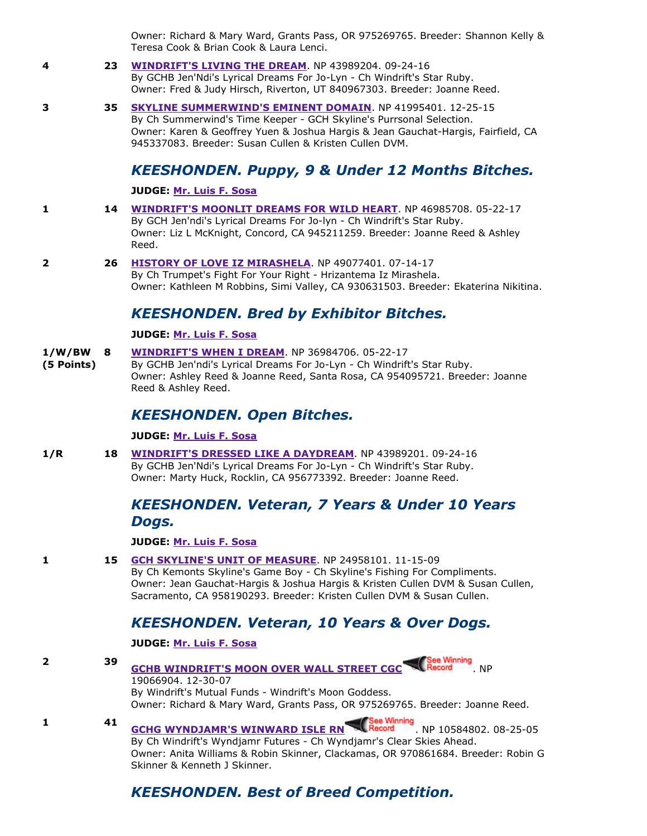Owner: Richard & Mary Ward, Grants Pass, OR 975269765. Breeder: Shannon Kelly & Teresa Cook & Brian Cook & Laura Lenci.

#### **4 <b>23 [WINDRIFT'S LIVING THE DREAM](http://www.infodog.com/my/drlookup2.htm?makc=NP%2043989204&mdog=Windrift%27s+Living+The+Dream&wins=all)**. NP 43989204. 09-24-16 By GCHB Jen'Ndi's Lyrical Dreams For Jo-Lyn - Ch Windrift's Star Ruby. Owner: Fred & Judy Hirsch, Riverton, UT 840967303. Breeder: Joanne Reed.

**3 <b>35** [SKYLINE SUMMERWIND'S EMINENT DOMAIN](http://www.infodog.com/my/drlookup2.htm?makc=NP%2041995401&mdog=Skyline+Summerwind%27s+Eminent+Domain&wins=all). NP 41995401. 12-25-15 By Ch Summerwind's Time Keeper GCH Skyline's Purrsonal Selection. Owner: Karen & Geoffrey Yuen & Joshua Hargis & Jean Gauchat-Hargis, Fairfield, CA 945337083. Breeder: Susan Cullen & Kristen Cullen DVM.

#### *KEESHONDEN. Puppy, 9 & Under 12 Months Bitches.*

**JUDGE: [Mr. Luis F. Sosa](http://www.infodog.com/show/judge/jdgprofile.htm?jn=45668)**

- **1 <b>14** [WINDRIFT'S MOONLIT DREAMS FOR WILD HEART](http://www.infodog.com/my/drlookup2.htm?makc=NP%2046985708&mdog=Windrift%27s+Moonlit+Dreams+For+Wild+Heart&wins=all). NP 46985708. 05-22-17 By GCH Jen'ndi's Lyrical Dreams For Jo-lyn - Ch Windrift's Star Ruby. Owner: Liz L McKnight, Concord, CA 945211259. Breeder: Joanne Reed & Ashley Reed.
- **2 <b>26 [HISTORY OF LOVE IZ MIRASHELA](http://www.infodog.com/my/drlookup2.htm?makc=NP%2049077401&mdog=History+Of+Love+Iz+Mirashela&wins=all)**. NP 49077401. 07-14-17 By Ch Trumpet's Fight For Your Right - Hrizantema Iz Mirashela. Owner: Kathleen M Robbins, Simi Valley, CA 930631503. Breeder: Ekaterina Nikitina.

#### *KEESHONDEN. Bred by Exhibitor Bitches.*

#### **JUDGE: [Mr. Luis F. Sosa](http://www.infodog.com/show/judge/jdgprofile.htm?jn=45668)**

- **1/W/BW [WINDRIFT'S WHEN I DREAM](http://www.infodog.com/my/drlookup2.htm?makc=NP%2036984706&mdog=Windrift%27s+When+I+Dream&wins=all).** NP 36984706. 05-22-17
- **(5 Points)** By GCHB Jen'ndi's Lyrical Dreams For Jo-Lyn - Ch Windrift's Star Ruby. Owner: Ashley Reed & Joanne Reed, Santa Rosa, CA 954095721. Breeder: Joanne Reed & Ashley Reed.

#### *KEESHONDEN. Open Bitches.*

#### **JUDGE: [Mr. Luis F. Sosa](http://www.infodog.com/show/judge/jdgprofile.htm?jn=45668)**

**1/R 18 [WINDRIFT'S DRESSED LIKE A DAYDREAM](http://www.infodog.com/my/drlookup2.htm?makc=NP%2043989201&mdog=Windrift%27s+Dressed+Like+A+Daydream&wins=all)**. NP 43989201. 09-24-16 By GCHB Jen'Ndi's Lyrical Dreams For Jo-Lyn - Ch Windrift's Star Ruby. Owner: Marty Huck, Rocklin, CA 956773392. Breeder: Joanne Reed.

#### *KEESHONDEN. Veteran, 7 Years & Under 10 Years Dogs.*

**JUDGE: [Mr. Luis F. Sosa](http://www.infodog.com/show/judge/jdgprofile.htm?jn=45668)**

**1 <b>15** [GCH SKYLINE'S UNIT OF MEASURE](http://www.infodog.com/my/drlookup2.htm?makc=NP%2024958101&mdog=GCH+Skyline%27s+Unit+Of+Measure&wins=all). NP 24958101. 11-15-09

By Ch Kemonts Skyline's Game Boy - Ch Skyline's Fishing For Compliments. Owner: Jean Gauchat-Hargis & Joshua Hargis & Kristen Cullen DVM & Susan Cullen, Sacramento, CA 958190293. Breeder: Kristen Cullen DVM & Susan Cullen.

#### *KEESHONDEN. Veteran, 10 Years & Over Dogs.*

**JUDGE: [Mr. Luis F. Sosa](http://www.infodog.com/show/judge/jdgprofile.htm?jn=45668)**

**2 39 [GCHB WINDRIFT'S MOON OVER WALL STREET CGC](http://www.infodog.com/my/drlookup2.htm?makc=NP%2019066904&mdog=GCHB+Windrift%27s+Moon+Over+Wall+Street+CGC&wins=all)** Record NP

19066904. 12-30-07 By Windrift's Mutual Funds - Windrift's Moon Goddess. Owner: Richard & Mary Ward, Grants Pass, OR 975269765. Breeder: Joanne Reed.

**1 41 [GCHG WYNDJAMR'S WINWARD ISLE RN](http://www.infodog.com/my/drlookup2.htm?makc=NP%2010584802&mdog=GCHG+Wyndjamr%27s+Winward+Isle+RN&wins=all) Record NP 10584802. 08-25-05** By Ch Windrift's Wyndjamr Futures - Ch Wyndjamr's Clear Skies Ahead. Owner: Anita Williams & Robin Skinner, Clackamas, OR 970861684. Breeder: Robin G Skinner & Kenneth J Skinner.

### *KEESHONDEN. Best of Breed Competition.*